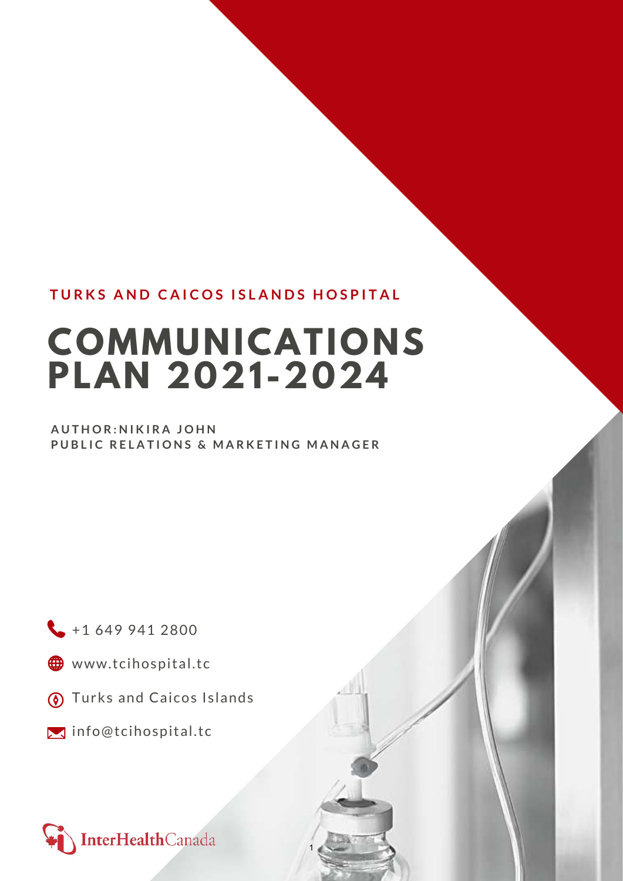# **TURKS AND CAICOS ISLANDS HOSPITAL**

# **COMMUNICATIONS PLAN 2021-2024**

1

## **AUTHOR:NIKIRA JOHN PUBLIC RELATIONS & MARKETING MANAGER**

 $+16499412800$ 

- www.tcihospital.tc
- **(6)** Turks and Caicos Islands
- **I** info@tcihospital.tc

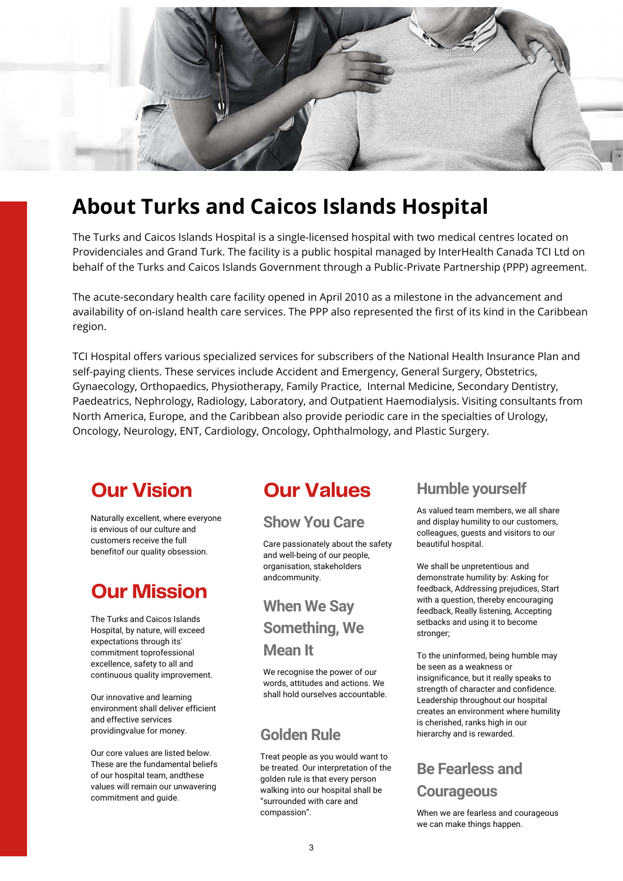

# **About Turks and Caicos Islands Hospital**

The Turks and Caicos Islands Hospital is a single-licensed hospital with two medical centres located on Providenciales and Grand Turk. The facility is a public hospital managed by InterHealth Canada TCI Ltd on behalf of the Turks and Caicos Islands Government through a Public-Private Partnership (PPP) agreement.

The acute-secondary health care facility opened in April 2010 as a milestone in the advancement and availability of on-island health care services. The PPP also represented the first of its kind in the Caribbean region.

TCI Hospital offers various specialized services for subscribers of the National Health Insurance Plan and self-paying clients. These services include Accident and Emergency, General Surgery, Obstetrics, Gynaecology, Orthopaedics, Physiotherapy, Family Practice, Internal Medicine, Secondary Dentistry, Paedeatrics, Nephrology, Radiology, Laboratory, and Outpatient Haemodialysis. Visiting consultants from North America, Europe, and the Caribbean also provide periodic care in the specialties of Urology, Oncology, Neurology, ENT, Cardiology, Oncology, Ophthalmology, and Plastic Surgery.

# **Our Vision**

Naturally excellent, where everyone is envious of our culture and customers receive the full benefitof our quality obsession.

# **Our Mission**

The Turks and Caicos Islands Hospital, by nature, will exceed expectations through its' commitment toprofessional excellence, safety to all and continuous quality improvement.

Our innovative and learning environment shall deliver efficient and effective services providingvalue for money.

Our core values are listed below. These are the fundamental beliefs of our hospital team, andthese values will remain our unwavering commitment and guide.

# **Our Values**

# **Show You Care**

Care passionately about the safety and well-being of our people, organisation, stakeholders andcommunity.

# **When We Say Something, We Mean It**

We recognise the power of our words, attitudes and actions. We shall hold ourselves accountable.

Treat people as you would want to be treated. Our interpretation of the golden rule is that every person walking into our hospital shall be "surrounded with care and compassion".

# **Humble yourself**

As valued team members, we all share and display humility to our customers, colleagues, guests and visitors to our beautiful hospital.

We shall be unpretentious and demonstrate humility by: Asking for feedback, Addressing prejudices, Start with a question, thereby encouraging feedback, Really listening, Accepting setbacks and using it to become stronger;

To the uninformed, being humble may be seen as a weakness or insignificance, but it really speaks to strength of character and confidence. Leadership throughout our hospital creates an environment where humility is cherished, ranks high in our **Golden Rule** hierarchy and is rewarded.

# **Be Fearless and Courageous**

When we are fearless and courageous we can make things happen.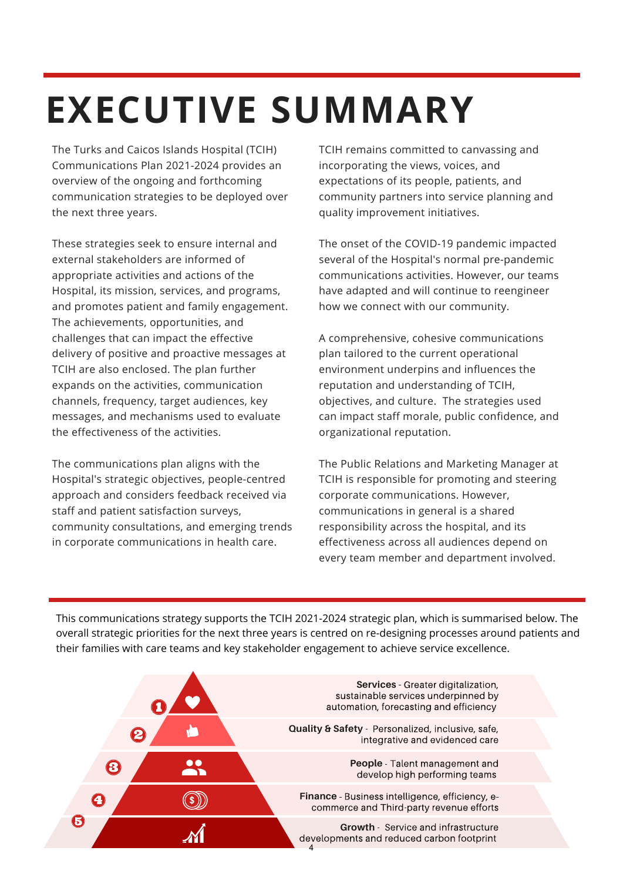# **EXECUTIVE SUMMARY**

The Turks and Caicos Islands Hospital (TCIH) Communications Plan 2021-2024 provides an overview of the ongoing and forthcoming communication strategies to be deployed over the next three years.

These strategies seek to ensure internal and external stakeholders are informed of appropriate activities and actions of the Hospital, its mission, services, and programs, and promotes patient and family engagement. The achievements, opportunities, and challenges that can impact the effective delivery of positive and proactive messages at TCIH are also enclosed. The plan further expands on the activities, communication channels, frequency, target audiences, key messages, and mechanisms used to evaluate the effectiveness of the activities.

The communications plan aligns with the Hospital's strategic objectives, people-centred approach and considers feedback received via staff and patient satisfaction surveys, community consultations, and emerging trends in corporate communications in health care.

TCIH remains committed to canvassing and incorporating the views, voices, and expectations of its people, patients, and community partners into service planning and quality improvement initiatives.

The onset of the COVID-19 pandemic impacted several of the Hospital's normal pre-pandemic communications activities. However, our teams have adapted and will continue to reengineer how we connect with our community.

A comprehensive, cohesive communications plan tailored to the current operational environment underpins and influences the reputation and understanding of TCIH, objectives, and culture. The strategies used can impact staff morale, public confidence, and organizational reputation.

The Public Relations and Marketing Manager at TCIH is responsible for promoting and steering corporate communications. However, communications in general is a shared responsibility across the hospital, and its effectiveness across all audiences depend on every team member and department involved.

This communications strategy supports the TCIH 2021-2024 strategic plan, which is summarised below. The overall strategic priorities for the next three years is centred on re-designing processes around patients and their families with care teams and key stakeholder engagement to achieve service excellence.

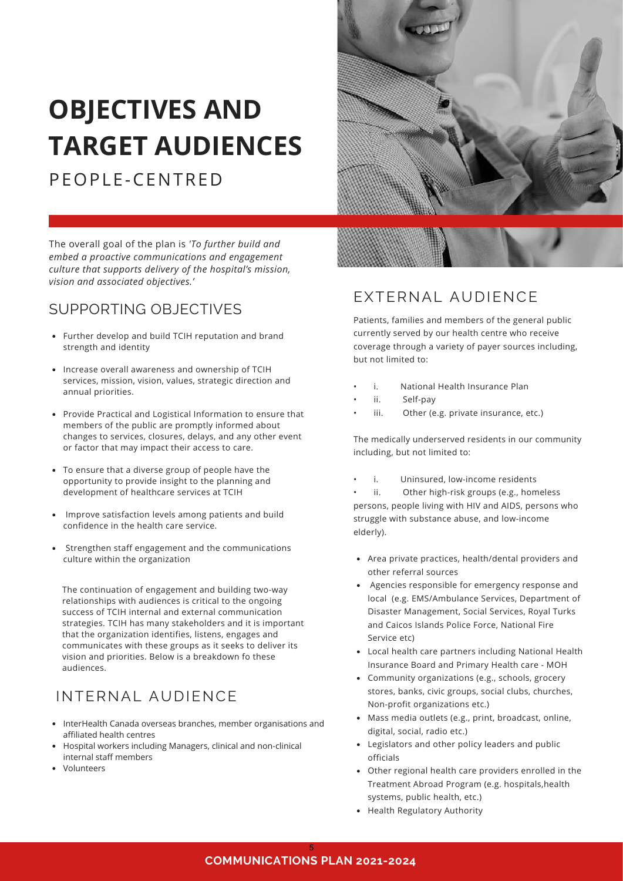# **OBJECTIVES AND TARGET AUDIENCES**

PEOPLE-CENTRED



The overall goal of the plan is *'To further build and embed a proactive communications and engagement culture that supports delivery of the hospital's mission, vision and associated objectives.'*

# SUPPORTING OBJECTIVES

- Further develop and build TCIH reputation and brand strength and identity
- Increase overall awareness and ownership of TCIH services, mission, vision, values, strategic direction and annual priorities.
- Provide Practical and Logistical Information to ensure that members of the public are promptly informed about changes to services, closures, delays, and any other event or factor that may impact their access to care.
- To ensure that a diverse group of people have the opportunity to provide insight to the planning and development of healthcare services at TCIH
- Improve satisfaction levels among patients and build confidence in the health care service.
- Strengthen staff engagement and the communications culture within the organization

The continuation of engagement and building two-way relationships with audiences is critical to the ongoing success of TCIH internal and external communication strategies. TCIH has many stakeholders and it is important that the organization identifies, listens, engages and communicates with these groups as it seeks to deliver its vision and priorities. Below is a breakdown fo these audiences.

# INTERNAL AUDIENCE

- InterHealth Canada overseas branches, member organisations and affiliated health centres
- Hospital workers including Managers, clinical and non-clinical internal staff members
- Volunteers

# EXTERNAL AUDIENCE

Patients, families and members of the general public currently served by our health centre who receive coverage through a variety of payer sources including, but not limited to:

- i. National Health Insurance Plan
- ii. Self-pay
- iii. Other (e.g. private insurance, etc.)

The medically underserved residents in our community including, but not limited to:

i. Uninsured, low-income residents

ii. Other high-risk groups (e.g., homeless persons, people living with HIV and AIDS, persons who struggle with substance abuse, and low-income elderly).

- Area private practices, health/dental providers and other referral sources
- Agencies responsible for emergency response and local (e.g. EMS/Ambulance Services, Department of Disaster Management, Social Services, Royal Turks and Caicos Islands Police Force, National Fire Service etc)
- Local health care partners including National Health Insurance Board and Primary Health care - MOH
- Community organizations (e.g., schools, grocery stores, banks, civic groups, social clubs, churches, Non-profit organizations etc.)
- Mass media outlets (e.g., print, broadcast, online, digital, social, radio etc.)
- Legislators and other policy leaders and public officials
- Other regional health care providers enrolled in the Treatment Abroad Program (e.g. hospitals,health systems, public health, etc.)
- Health Regulatory Authority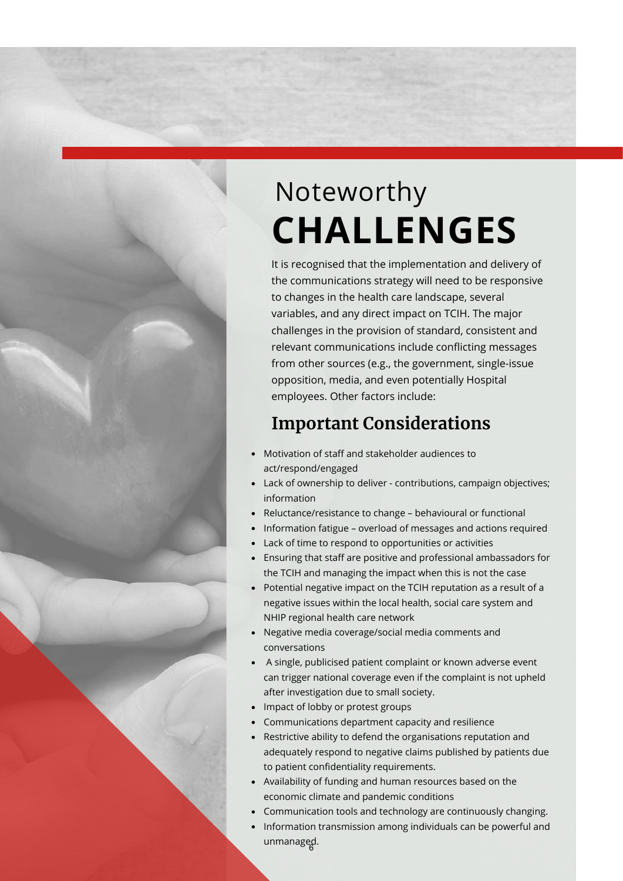# Noteworthy **CHALLENGES**

It is recognised that the implementation and delivery of the communications strategy will need to be responsive to changes in the health care landscape, several variables, and any direct impact on TCIH. The major challenges in the provision of standard, consistent and relevant communications include conflicting messages from other sources (e.g., the government, single-issue opposition, media, and even potentially Hospital employees. Other factors include:

# **Important Considerations**

- Motivation of staff and stakeholder audiences to act/respond/engaged
- Lack of ownership to deliver contributions, campaign objectives; information
- Reluctance/resistance to change behavioural or functional
- Information fatigue overload of messages and actions required
- Lack of time to respond to opportunities or activities
- Ensuring that staff are positive and professional ambassadors for the TCIH and managing the impact when this is not the case
- Potential negative impact on the TCIH reputation as a result of a negative issues within the local health, social care system and NHIP regional health care network
- Negative media coverage/social media comments and conversations
- A single, publicised patient complaint or known adverse event can trigger national coverage even if the complaint is not upheld after investigation due to small society.
- Impact of lobby or protest groups
- Communications department capacity and resilience
- Restrictive ability to defend the organisations reputation and adequately respond to negative claims published by patients due to patient confidentiality requirements.
- Availability of funding and human resources based on the economic climate and pandemic conditions
- Communication tools and technology are continuously changing.
- Information transmission among individuals can be powerful and unmanaged. <sup>6</sup>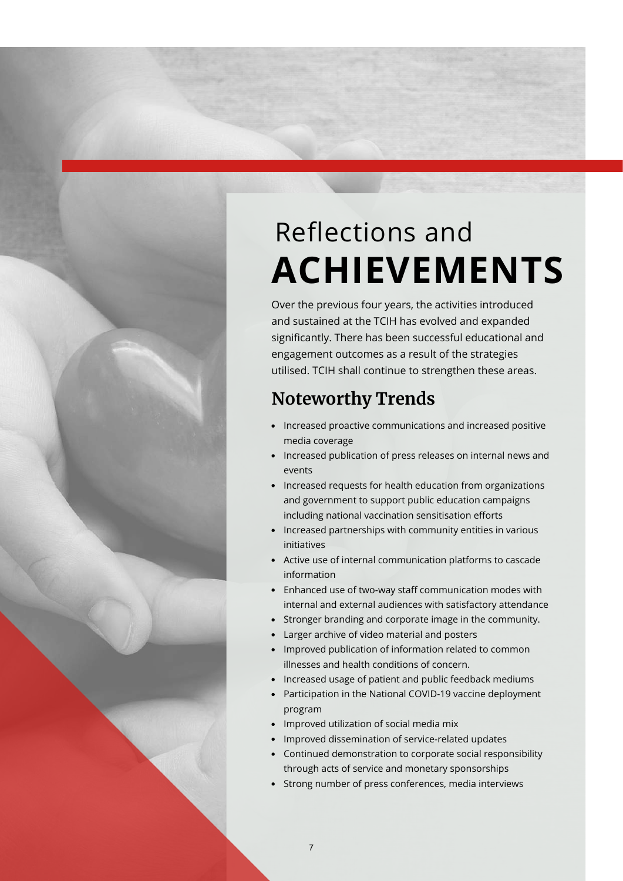# Reflections and **ACHIEVEMENTS**

Over the previous four years, the activities introduced and sustained at the TCIH has evolved and expanded significantly. There has been successful educational and engagement outcomes as a result of the strategies utilised. TCIH shall continue to strengthen these areas.

# **Noteworthy Trends**

- Increased proactive communications and increased positive media coverage
- Increased publication of press releases on internal news and events
- Increased requests for health education from organizations and government to support public education campaigns including national vaccination sensitisation efforts
- Increased partnerships with community entities in various initiatives
- Active use of internal communication platforms to cascade information
- Enhanced use of two‐way staff communication modes with internal and external audiences with satisfactory attendance
- Stronger branding and corporate image in the community.
- Larger archive of video material and posters
- Improved publication of information related to common illnesses and health conditions of concern.
- Increased usage of patient and public feedback mediums
- Participation in the National COVID-19 vaccine deployment program
- Improved utilization of social media mix

7

- Improved dissemination of service-related updates
- Continued demonstration to corporate social responsibility through acts of service and monetary sponsorships
- Strong number of press conferences, media interviews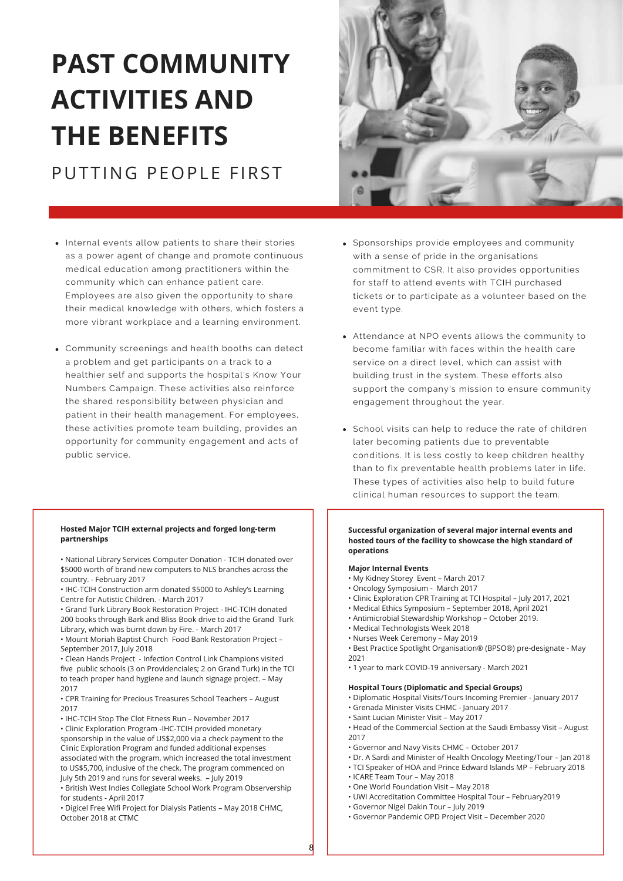# **PAST COMMUNITY ACTIVITIES AND THE BENEFITS** PUTTING PEOPLE FIRST

- Internal events allow patients to share their stories as a power agent of change and promote continuous medical education among practitioners within the community which can enhance patient care. Employees are also given the opportunity to share their medical knowledge with others, which fosters a more vibrant workplace and a learning environment.
- Community screenings and health booths can detect a problem and get participants on a track to a healthier self and supports the hospital's Know Your Numbers Campaign. These activities also reinforce the shared responsibility between physician and patient in their health management. For employees, these activities promote team building, provides an opportunity for community engagement and acts of public service.

#### **Hosted Major TCIH external projects and forged long-term partnerships**

• National Library Services Computer Donation - TCIH donated over \$5000 worth of brand new computers to NLS branches across the country. - February 2017

• IHC-TCIH Construction arm donated \$5000 to Ashley's Learning Centre for Autistic Children. - March 2017

• Grand Turk Library Book Restoration Project - IHC-TCIH donated 200 books through Bark and Bliss Book drive to aid the Grand Turk Library, which was burnt down by Fire. - March 2017

• Mount Moriah Baptist Church Food Bank Restoration Project – September 2017, July 2018

• Clean Hands Project - Infection Control Link Champions visited five public schools (3 on Providenciales; 2 on Grand Turk) in the TCI to teach proper hand hygiene and launch signage project. – May 2017

• CPR Training for Precious Treasures School Teachers – August 2017

• IHC-TCIH Stop The Clot Fitness Run – November 2017

• Clinic Exploration Program -IHC-TCIH provided monetary sponsorship in the value of US\$2,000 via a check payment to the Clinic Exploration Program and funded additional expenses associated with the program, which increased the total investment to US\$5,700, inclusive of the check. The program commenced on July 5th 2019 and runs for several weeks. – July 2019

• British West Indies Collegiate School Work Program Observership for students - April 2017

• Digicel Free Wifi Project for Dialysis Patients – May 2018 CHMC, October 2018 at CTMC



- Sponsorships provide employees and community with a sense of pride in the organisations commitment to CSR. It also provides opportunities for staff to attend events with TCIH purchased tickets or to participate as a volunteer based on the event type.
- Attendance at NPO events allows the community to become familiar with faces within the health care service on a direct level, which can assist with building trust in the system. These efforts also support the company's mission to ensure community engagement throughout the year.
- School visits can help to reduce the rate of children later becoming patients due to preventable conditions. It is less costly to keep children healthy than to fix preventable health problems later in life. These types of activities also help to build future clinical human resources to support the team.

### **Successful organization of several major internal events and hosted tours of the facility to showcase the high standard of operations**

#### **Major Internal Events**

- My Kidney Storey Event March 2017
- Oncology Symposium March 2017
- Clinic Exploration CPR Training at TCI Hospital July 2017, 2021
- Medical Ethics Symposium September 2018, April 2021
- Antimicrobial Stewardship Workshop October 2019.
- Medical Technologists Week 2018
- Nurses Week Ceremony May 2019
- Best Practice Spotlight Organisation® (BPSO®) pre-designate May 2021
- 1 year to mark COVID-19 anniversary March 2021

### **Hospital Tours (Diplomatic and Special Groups)**

- Diplomatic Hospital Visits/Tours Incoming Premier January 2017
	- Grenada Minister Visits CHMC January 2017
	- Saint Lucian Minister Visit May 2017
- Head of the Commercial Section at the Saudi Embassy Visit August 2017
- Governor and Navy Visits CHMC October 2017
- Dr. A Sardi and Minister of Health Oncology Meeting/Tour Jan 2018
- TCI Speaker of HOA and Prince Edward Islands MP February 2018
- ICARE Team Tour May 2018

8

- One World Foundation Visit May 2018
- UWI Accreditation Committee Hospital Tour February2019
- Governor Nigel Dakin Tour July 2019
- Governor Pandemic OPD Project Visit December 2020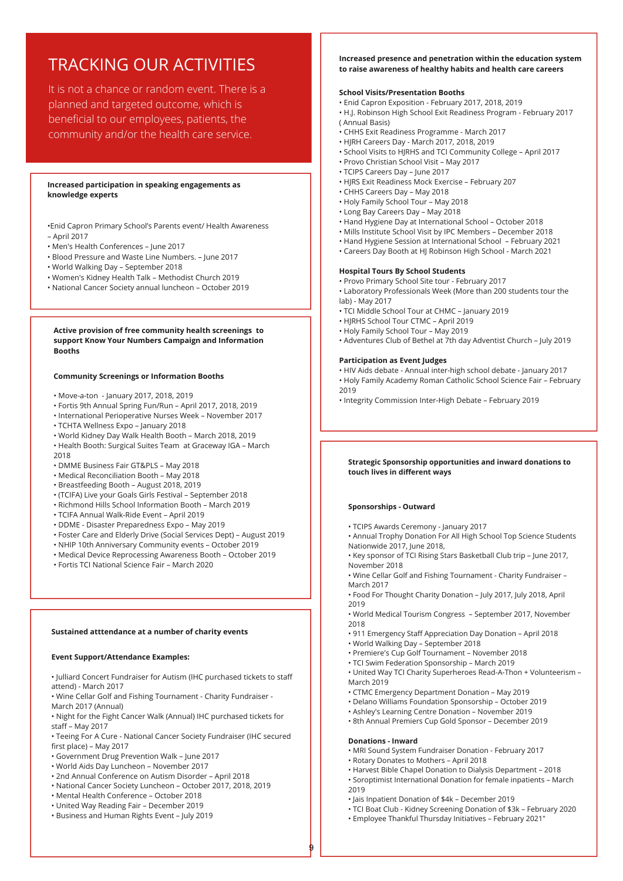# TRACKING OUR ACTIVITIES

It is not a chance or random event. There is a planned and targeted outcome, which is beneficial to our employees, patients, the community and/or the health care service.

#### **Increased participation in speaking engagements as knowledge experts**

•Enid Capron Primary School's Parents event/ Health Awareness – April 2017

- Men's Health Conferences June 2017
- Blood Pressure and Waste Line Numbers. June 2017
- World Walking Day September 2018
- Women's Kidney Health Talk Methodist Church 2019
- National Cancer Society annual luncheon October 2019

#### **Active provision of free community health screenings to support Know Your Numbers Campaign and Information Booths**

#### **Community Screenings or Information Booths**

- Move-a-ton January 2017, 2018, 2019
- Fortis 9th Annual Spring Fun/Run April 2017, 2018, 2019
- International Perioperative Nurses Week November 2017
- TCHTA Wellness Expo January 2018
- World Kidney Day Walk Health Booth March 2018, 2019
- Health Booth: Surgical Suites Team at Graceway IGA March 2018
- DMME Business Fair GT&PLS May 2018
- Medical Reconciliation Booth May 2018
- Breastfeeding Booth August 2018, 2019
- (TCIFA) Live your Goals Girls Festival September 2018
- Richmond Hills School Information Booth March 2019
- TCIFA Annual Walk-Ride Event April 2019
- DDME Disaster Preparedness Expo May 2019
- Foster Care and Elderly Drive (Social Services Dept) August 2019
- NHIP 10th Anniversary Community events October 2019
- Medical Device Reprocessing Awareness Booth October 2019
- Fortis TCI National Science Fair March 2020

#### **Sustained atttendance at a number of charity events**

#### **Event Support/Attendance Examples:**

• Julliard Concert Fundraiser for Autism (IHC purchased tickets to staff attend) - March 2017

• Wine Cellar Golf and Fishing Tournament - Charity Fundraiser - March 2017 (Annual)

• Night for the Fight Cancer Walk (Annual) IHC purchased tickets for staff – May 2017

• Teeing For A Cure - National Cancer Society Fundraiser (IHC secured first place) – May 2017

- Government Drug Prevention Walk June 2017
- World Aids Day Luncheon November 2017
- 2nd Annual Conference on Autism Disorder April 2018
- National Cancer Society Luncheon October 2017, 2018, 2019
- Mental Health Conference October 2018
- United Way Reading Fair December 2019
- Business and Human Rights Event July 2019

#### **Increased presence and penetration within the education system to raise awareness of healthy habits and health care careers**

#### **School Visits/Presentation Booths**

- Enid Capron Exposition February 2017, 2018, 2019
- H.J. Robinson High School Exit Readiness Program February 2017 ( Annual Basis)
- CHHS Exit Readiness Programme March 2017
- HJRH Careers Day March 2017, 2018, 2019
- School Visits to HJRHS and TCI Community College April 2017
- Provo Christian School Visit May 2017
- TCIPS Careers Day June 2017
- HJRS Exit Readiness Mock Exercise February 207
- CHHS Careers Day May 2018
- Holy Family School Tour May 2018
- Long Bay Careers Day May 2018
- Hand Hygiene Day at International School October 2018
- Mills Institute School Visit by IPC Members December 2018
- Hand Hygiene Session at International School February 2021
- Careers Day Booth at HJ Robinson High School March 2021

#### **Hospital Tours By School Students**

• Provo Primary School Site tour - February 2017

• Laboratory Professionals Week (More than 200 students tour the lab) - May 2017

- TCI Middle School Tour at CHMC January 2019
- HJRHS School Tour CTMC April 2019
- Holy Family School Tour May 2019
- Adventures Club of Bethel at 7th day Adventist Church July 2019

### **Participation as Event Judges**

- HIV Aids debate Annual inter-high school debate January 2017
- Holy Family Academy Roman Catholic School Science Fair February 2019
- Integrity Commission Inter-High Debate February 2019

#### **Strategic Sponsorship opportunities and inward donations to touch lives in different ways**

#### **Sponsorships - Outward**

- TCIPS Awards Ceremony January 2017
- Annual Trophy Donation For All High School Top Science Students Nationwide 2017, June 2018,
- Key sponsor of TCI Rising Stars Basketball Club trip June 2017, November 2018
- Wine Cellar Golf and Fishing Tournament Charity Fundraiser March 2017
- Food For Thought Charity Donation July 2017, July 2018, April 2019
- World Medical Tourism Congress September 2017, November 2018
- 911 Emergency Staff Appreciation Day Donation April 2018
- World Walking Day September 2018
- Premiere's Cup Golf Tournament November 2018
- TCI Swim Federation Sponsorship March 2019
- United Way TCI Charity Superheroes Read-A-Thon + Volunteerism March 2019
- CTMC Emergency Department Donation May 2019
- Delano Williams Foundation Sponsorship October 2019
- Ashley's Learning Centre Donation November 2019
- 8th Annual Premiers Cup Gold Sponsor December 2019

#### **Donations - Inward**

9

- MRI Sound System Fundraiser Donation February 2017
- Rotary Donates to Mothers April 2018
- Harvest Bible Chapel Donation to Dialysis Department 2018
- Soroptimist International Donation for female inpatients March 2019
- Jais Inpatient Donation of \$4k December 2019
- TCI Boat Club Kidney Screening Donation of \$3k February 2020
- Employee Thankful Thursday Initiatives February 2021"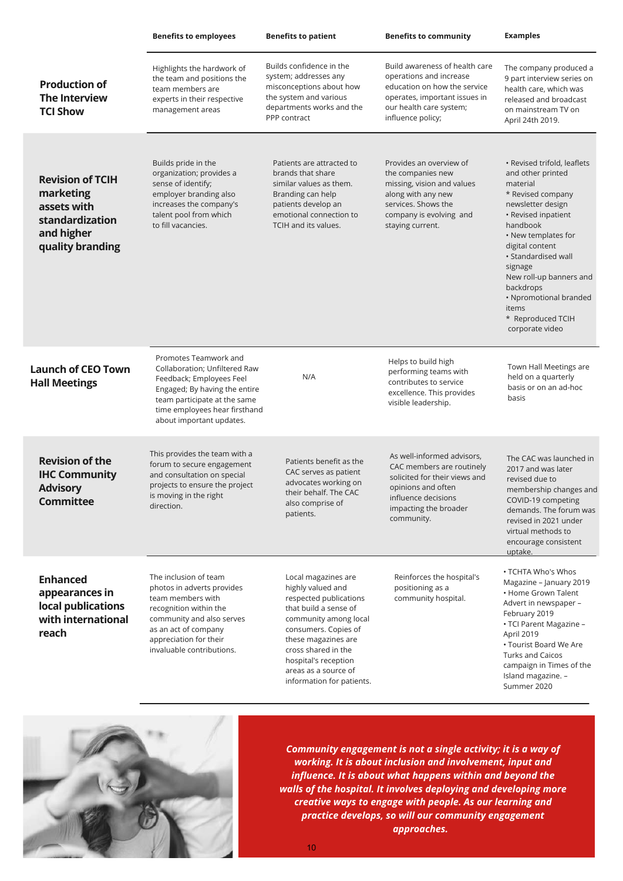|                                                                                                          | <b>Benefits to employees</b>                                                                                                                                                                                     | <b>Benefits to patient</b>                                                                                                                                                                                                                                              | <b>Benefits to community</b>                                                                                                                                                 | <b>Examples</b>                                                                                                                                                                                                                                                                                                                          |
|----------------------------------------------------------------------------------------------------------|------------------------------------------------------------------------------------------------------------------------------------------------------------------------------------------------------------------|-------------------------------------------------------------------------------------------------------------------------------------------------------------------------------------------------------------------------------------------------------------------------|------------------------------------------------------------------------------------------------------------------------------------------------------------------------------|------------------------------------------------------------------------------------------------------------------------------------------------------------------------------------------------------------------------------------------------------------------------------------------------------------------------------------------|
| <b>Production of</b><br><b>The Interview</b><br><b>TCI Show</b>                                          | Highlights the hardwork of<br>the team and positions the<br>team members are<br>experts in their respective<br>management areas                                                                                  | Builds confidence in the<br>system; addresses any<br>misconceptions about how<br>the system and various<br>departments works and the<br>PPP contract                                                                                                                    | Build awareness of health care<br>operations and increase<br>education on how the service<br>operates, important issues in<br>our health care system;<br>influence policy;   | The company produced a<br>9 part interview series on<br>health care, which was<br>released and broadcast<br>on mainstream TV on<br>April 24th 2019.                                                                                                                                                                                      |
| <b>Revision of TCIH</b><br>marketing<br>assets with<br>standardization<br>and higher<br>quality branding | Builds pride in the<br>organization; provides a<br>sense of identify;<br>employer branding also<br>increases the company's<br>talent pool from which<br>to fill vacancies.                                       | Patients are attracted to<br>brands that share<br>similar values as them.<br>Branding can help<br>patients develop an<br>emotional connection to<br>TCIH and its values.                                                                                                | Provides an overview of<br>the companies new<br>missing, vision and values<br>along with any new<br>services. Shows the<br>company is evolving and<br>staying current.       | • Revised trifold, leaflets<br>and other printed<br>material<br>* Revised company<br>newsletter design<br>• Revised inpatient<br>handbook<br>• New templates for<br>digital content<br>• Standardised wall<br>signage<br>New roll-up banners and<br>backdrops<br>• Npromotional branded<br>items<br>* Reproduced TCIH<br>corporate video |
| <b>Launch of CEO Town</b><br><b>Hall Meetings</b>                                                        | Promotes Teamwork and<br>Collaboration; Unfiltered Raw<br>Feedback; Employees Feel<br>Engaged; By having the entire<br>team participate at the same<br>time employees hear firsthand<br>about important updates. | N/A                                                                                                                                                                                                                                                                     | Helps to build high<br>performing teams with<br>contributes to service<br>excellence. This provides<br>visible leadership.                                                   | Town Hall Meetings are<br>held on a quarterly<br>basis or on an ad-hoc<br>basis                                                                                                                                                                                                                                                          |
| <b>Revision of the</b><br><b>IHC Community</b><br><b>Advisory</b><br><b>Committee</b>                    | This provides the team with a<br>forum to secure engagement<br>and consultation on special<br>projects to ensure the project<br>is moving in the right<br>direction.                                             | Patients benefit as the<br>CAC serves as patient<br>advocates working on<br>their behalf. The CAC<br>also comprise of<br>patients.                                                                                                                                      | As well-informed advisors,<br>CAC members are routinely<br>solicited for their views and<br>opinions and often<br>influence decisions<br>impacting the broader<br>community. | The CAC was launched in<br>2017 and was later<br>revised due to<br>membership changes and<br>COVID-19 competing<br>demands. The forum was<br>revised in 2021 under<br>virtual methods to<br>encourage consistent<br>uptake.                                                                                                              |
| <b>Enhanced</b><br>appearances in<br>local publications<br>with international<br>reach                   | The inclusion of team<br>photos in adverts provides<br>team members with<br>recognition within the<br>community and also serves<br>as an act of company<br>appreciation for their<br>invaluable contributions.   | Local magazines are<br>highly valued and<br>respected publications<br>that build a sense of<br>community among local<br>consumers. Copies of<br>these magazines are<br>cross shared in the<br>hospital's reception<br>areas as a source of<br>information for patients. | Reinforces the hospital's<br>positioning as a<br>community hospital.                                                                                                         | • TCHTA Who's Whos<br>Magazine - January 2019<br>• Home Grown Talent<br>Advert in newspaper -<br>February 2019<br>• TCI Parent Magazine -<br>April 2019<br>• Tourist Board We Are<br><b>Turks and Caicos</b><br>campaign in Times of the<br>Island magazine. -<br>Summer 2020                                                            |



*Community engagement is not a single activity; it is a way of working. It is about inclusion and involvement, input and influence. It is about what happens within and beyond the walls of the hospital. It involves deploying and developing more creative ways to engage with people. As our learning and practice develops, so will our community engagement approaches.*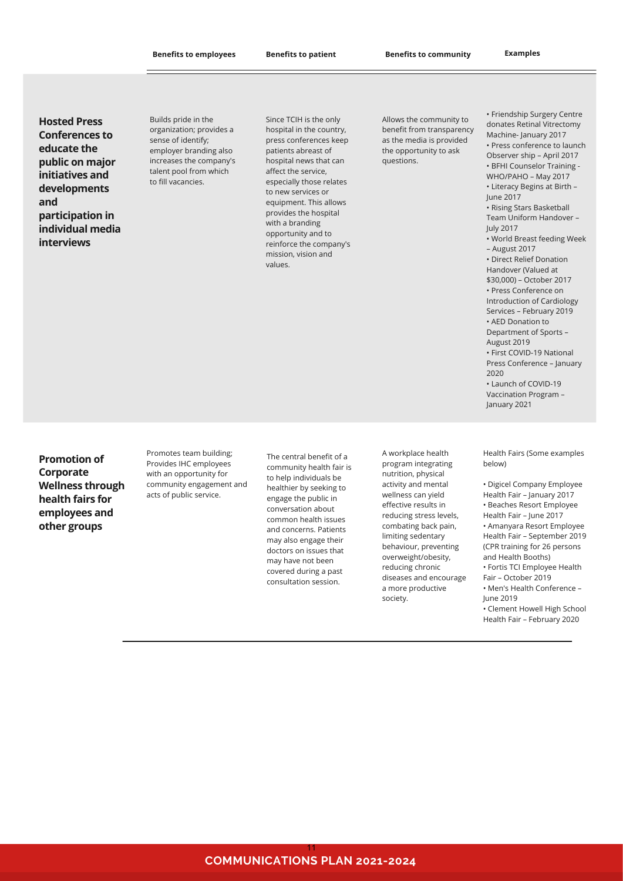**Hosted Press Conferences to educate the public on major initiatives and developments and participation in individual media interviews**

Builds pride in the organization; provides a sense of identify; employer branding also increases the company's talent pool from which to fill vacancies.

Since TCIH is the only hospital in the country, press conferences keep patients abreast of hospital news that can affect the service, especially those relates to new services or equipment. This allows provides the hospital with a branding opportunity and to reinforce the company's mission, vision and values.

Allows the community to benefit from transparency as the media is provided the opportunity to ask questions.

• Friendship Surgery Centre donates Retinal Vitrectomy Machine- January 2017 • Press conference to launch Observer ship – April 2017 • BFHI Counselor Training - WHO/PAHO – May 2017 • Literacy Begins at Birth – June 2017 • Rising Stars Basketball Team Uniform Handover – July 2017 • World Breast feeding Week – August 2017 • Direct Relief Donation Handover (Valued at \$30,000) – October 2017 • Press Conference on Introduction of Cardiology Services – February 2019 • AED Donation to Department of Sports – August 2019 • First COVID-19 National Press Conference – January 2020 • Launch of COVID-19 Vaccination Program – January 2021

**Promotion of Corporate Wellness through health fairs for employees and other groups**

Promotes team building; Provides IHC employees with an opportunity for community engagement and acts of public service.

The central benefit of a community health fair is to help individuals be healthier by seeking to engage the public in conversation about common health issues and concerns. Patients may also engage their doctors on issues that may have not been covered during a past consultation session.

A workplace health program integrating nutrition, physical activity and mental wellness can yield effective results in reducing stress levels, combating back pain, limiting sedentary behaviour, preventing overweight/obesity, reducing chronic diseases and encourage a more productive society.

Health Fairs (Some examples below)

• Digicel Company Employee Health Fair – January 2017 • Beaches Resort Employee Health Fair – June 2017 • Amanyara Resort Employee Health Fair – September 2019 (CPR training for 26 persons and Health Booths) • Fortis TCI Employee Health Fair – October 2019 • Men's Health Conference – June 2019 • Clement Howell High School Health Fair – February 2020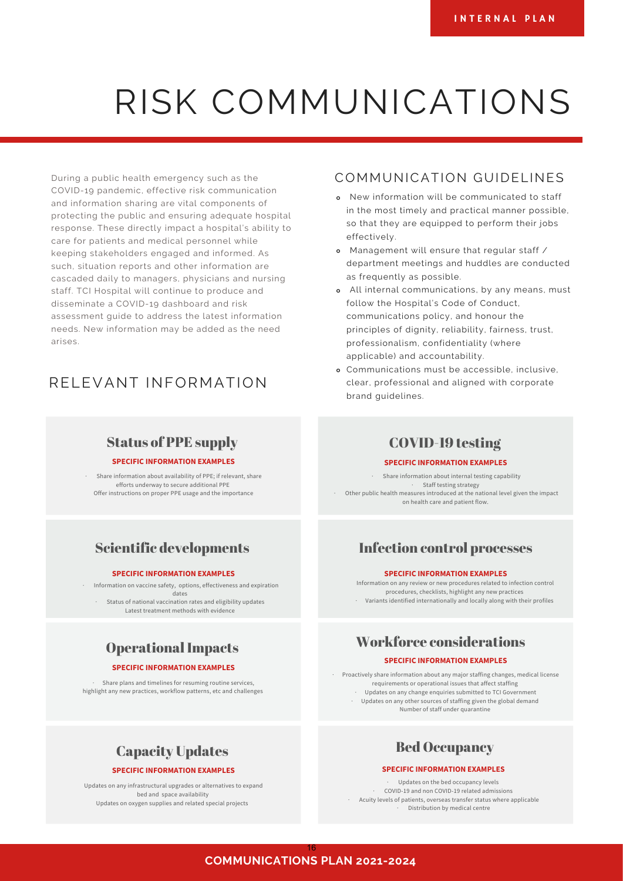# RISK COMMUNICATIONS

During a public health emergency such as the COVID-19 pandemic, effective risk communication and information sharing are vital components of protecting the public and ensuring adequate hospital response. These directly impact a hospital's ability to care for patients and medical personnel while keeping stakeholders engaged and informed. As such, situation reports and other information are cascaded daily to managers, physicians and nursing staff. TCI Hospital will continue to produce and disseminate a COVID-19 dashboard and risk assessment guide to address the latest information needs. New information may be added as the need arises.

# RELEVANT INFORMATION

## Status of PPE supply

#### **SPECIFIC INFORMATION EXAMPLES**

· Share information about availability of PPE; if relevant, share efforts underway to secure additional PPE Offer instructions on proper PPE usage and the importance

# Scientific developments

#### **SPECIFIC INFORMATION EXAMPLES**

· Information on vaccine safety, options, effectiveness and expiration dates Status of national vaccination rates and eligibility updates Latest treatment methods with evidence

# Operational Impacts

### **SPECIFIC INFORMATION EXAMPLES**

Share plans and timelines for resuming routine services. highlight any new practices, workflow patterns, etc and challenges

## COMMUNICATION GUIDELINES

- New information will be communicated to staff in the most timely and practical manner possible, so that they are equipped to perform their jobs effectively.
- Management will ensure that regular staff / department meetings and huddles are conducted as frequently as possible.
- All internal communications, by any means, must follow the Hospital's Code of Conduct, communications policy, and honour the principles of dignity, reliability, fairness, trust, professionalism, confidentiality (where applicable) and accountability.
- Communications must be accessible, inclusive, clear, professional and aligned with corporate brand guidelines.

## COVID-19 testing

#### **SPECIFIC INFORMATION EXAMPLES**

· Share information about internal testing capability · Staff testing strategy · Other public health measures introduced at the national level given the impact on health care and patient flow.

## Infection control processes

#### **SPECIFIC INFORMATION EXAMPLES**

Information on any review or new procedures related to infection control procedures, checklists, highlight any new practices · Variants identified internationally and locally along with their profiles

# Workforce considerations

#### **SPECIFIC INFORMATION EXAMPLES**

· Proactively share information about any major staffing changes, medical license requirements or operational issues that affect staffing · Updates on any change enquiries submitted to TCI Government · Updates on any other sources of staffing given the global demand Number of staff under quarantine

# Bed Occupancy

#### **SPECIFIC INFORMATION EXAMPLES**

· Updates on the bed occupancy levels · COVID-19 and non COVID-19 related admissions · Acuity levels of patients, overseas transfer status where applicable Distribution by medical centre

## Capacity Updates **SPECIFIC INFORMATION EXAMPLES**

Updates on any infrastructural upgrades or alternatives to expand bed and space availability Updates on oxygen supplies and related special projects

> **COMMUNICATIONS PLAN 2021-2024** 16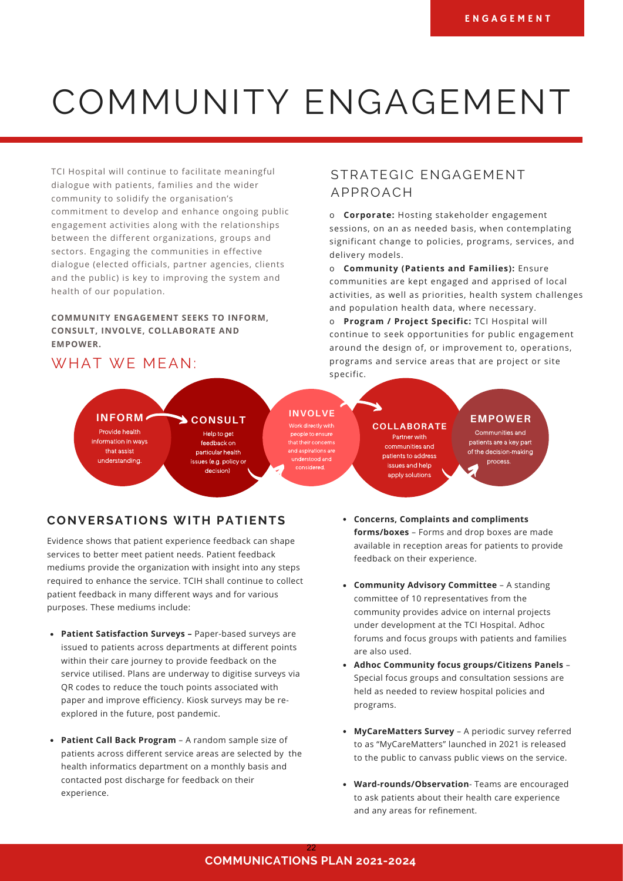# COMMUNITY ENGAGEMENT

TCI Hospital will continue to facilitate meaningful dialogue with patients, families and the wider community to solidify the organisation's commitment to develop and enhance ongoing public engagement activities along with the relationships between the different organizations, groups and sectors. Engaging the communities in effective dialogue (elected officials, partner agencies, clients and the public) is key to improving the system and health of our population.

## **COMMUNITY ENGAGEMENT SEEKS TO INFORM, CONSULT, INVOLVE, COLLABORATE AND EMPOWER.**

# WHAT WE MEAN:

## STRATEGIC ENGAGEMENT APPROACH

o **Corporate:** Hosting stakeholder engagement sessions, on an as needed basis, when contemplating significant change to policies, programs, services, and delivery models.

o **Community (Patients and Families):** Ensure communities are kept engaged and apprised of local activities, as well as priorities, health system challenges and population health data, where necessary.

o **Program / Project Specific:** TCI Hospital will continue to seek opportunities for public engagement around the design of, or improvement to, operations, programs and service areas that are project or site specific.

**COLLABORATE**

Partner with

communities and

patients to address

issues and help

apply solutions

**INFORM CONSULT INVOLVE** Provide health

information in ways that assist understanding.

Help to get

feedback on particular health issues (e.g. policy or

decision)

eople to ensure that their concerns and aspirations are understood and considered

## **EMPOWER**

Communities and patients are a key part of the decision-making process.

## **CONVERSATIONS WITH PATIENTS**

Evidence shows that patient experience feedback can shape services to better meet patient needs. Patient feedback mediums provide the organization with insight into any steps required to enhance the service. TCIH shall continue to collect patient feedback in many different ways and for various purposes. These mediums include:

- **Patient Satisfaction Surveys** Paper-based surveys are issued to patients across departments at different points within their care journey to provide feedback on the service utilised. Plans are underway to digitise surveys via QR codes to reduce the touch points associated with paper and improve efficiency. Kiosk surveys may be reexplored in the future, post pandemic.
- **Patient Call Back Program** A random sample size of patients across different service areas are selected by the health informatics department on a monthly basis and contacted post discharge for feedback on their experience.
- **Concerns, Complaints and compliments forms/boxes** – Forms and drop boxes are made available in reception areas for patients to provide feedback on their experience.
- **Community Advisory Committee**  A standing committee of 10 representatives from the community provides advice on internal projects under development at the TCI Hospital. Adhoc forums and focus groups with patients and families are also used.
- **Adhoc Community focus groups/Citizens Panels**  Special focus groups and consultation sessions are held as needed to review hospital policies and programs.
- **MyCareMatters Survey**  A periodic survey referred to as "MyCareMatters" launched in 2021 is released to the public to canvass public views on the service.
- **Ward-rounds/Observation** Teams are encouraged to ask patients about their health care experience and any areas for refinement.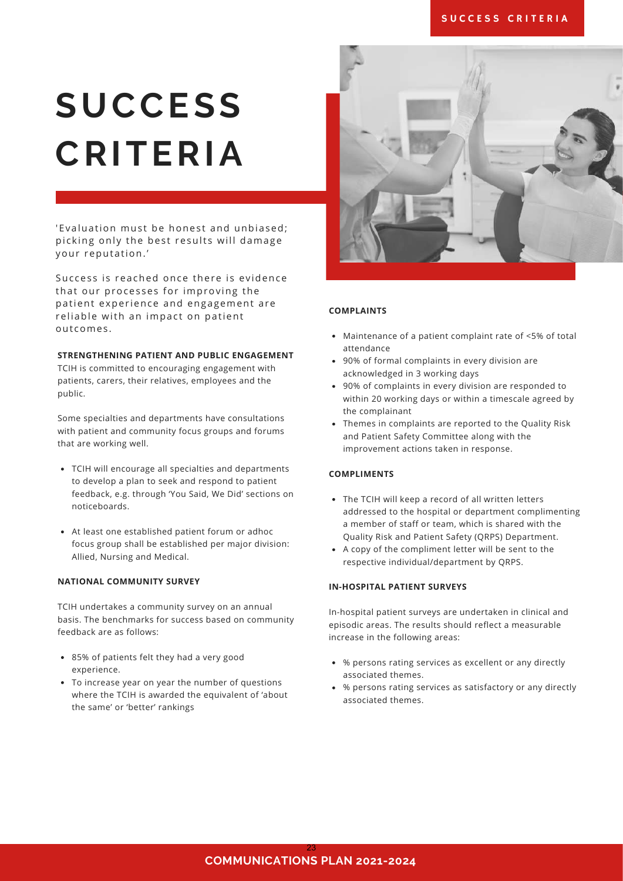## SUCCESS CRITERIA

# **SUCCESS CRITERIA**

'Evaluation must be honest and unbiased; picking only the best results will damage your reputation.'

Success is reached once there is evidence that our processes for improving the patient experience and engagement are reliable with an impact on patient outcomes.

### **STRENGTHENING PATIENT AND PUBLIC ENGAGEMENT**

TCIH is committed to encouraging engagement with patients, carers, their relatives, employees and the public.

Some specialties and departments have consultations with patient and community focus groups and forums that are working well.

- TCIH will encourage all specialties and departments to develop a plan to seek and respond to patient feedback, e.g. through 'You Said, We Did' sections on noticeboards.
- At least one established patient forum or adhoc focus group shall be established per major division: Allied, Nursing and Medical.

### **NATIONAL COMMUNITY SURVEY**

TCIH undertakes a community survey on an annual basis. The benchmarks for success based on community feedback are as follows:

- 85% of patients felt they had a very good experience.
- To increase year on year the number of questions where the TCIH is awarded the equivalent of 'about the same' or 'better' rankings



### **COMPLAINTS**

- Maintenance of a patient complaint rate of <5% of total attendance
- 90% of formal complaints in every division are acknowledged in 3 working days
- 90% of complaints in every division are responded to within 20 working days or within a timescale agreed by the complainant
- Themes in complaints are reported to the Quality Risk and Patient Safety Committee along with the improvement actions taken in response.

### **COMPLIMENTS**

- The TCIH will keep a record of all written letters addressed to the hospital or department complimenting a member of staff or team, which is shared with the Quality Risk and Patient Safety (QRPS) Department.
- A copy of the compliment letter will be sent to the respective individual/department by QRPS.

### **IN-HOSPITAL PATIENT SURVEYS**

In-hospital patient surveys are undertaken in clinical and episodic areas. The results should reflect a measurable increase in the following areas:

- % persons rating services as excellent or any directly associated themes.
- % persons rating services as satisfactory or any directly associated themes.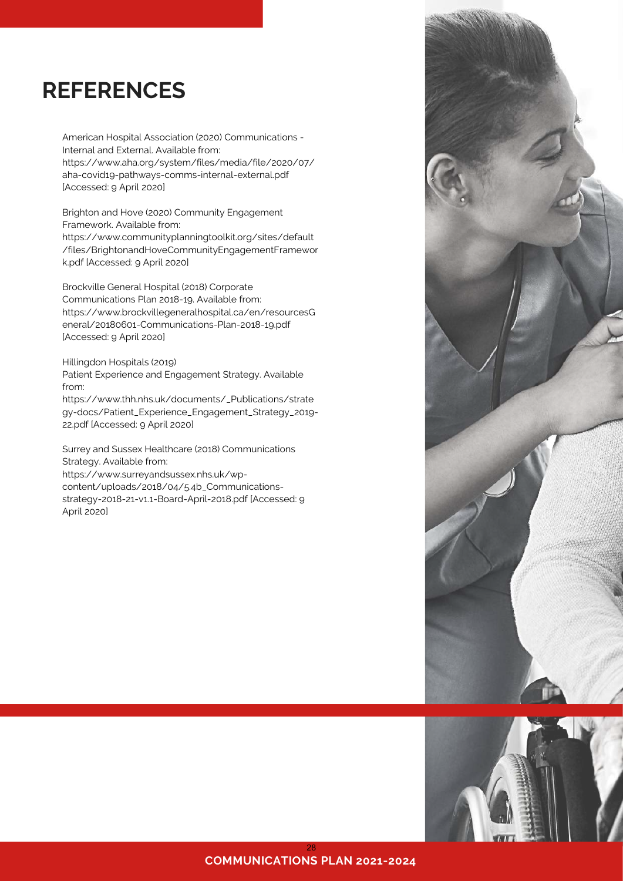# **REFERENCES**

American Hospital Association (2020) Communications - Internal and External. Available from: https://www.aha.org/system/files/media/file/2020/07/ aha-covid19-pathways-comms-internal-external.pdf [Accessed: 9 April 2020]

Brighton and Hove (2020) Community Engagement Framework. Available from: https://www.communityplanningtoolkit.org/sites/default

/files/BrightonandHoveCommunityEngagementFramewor k.pdf [Accessed: 9 April 2020]

Brockville General Hospital (2018) Corporate Communications Plan 2018-19. Available from: https://www.brockvillegeneralhospital.ca/en/resourcesG eneral/20180601-Communications-Plan-2018-19.pdf [Accessed: 9 April 2020]

Hillingdon Hospitals (2019)

Patient Experience and Engagement Strategy. Available from:

https://www.thh.nhs.uk/documents/\_Publications/strate gy-docs/Patient\_Experience\_Engagement\_Strategy\_2019- 22.pdf [Accessed: 9 April 2020]

Surrey and Sussex Healthcare (2018) Communications Strategy. Available from:

https://www.surreyandsussex.nhs.uk/wpcontent/uploads/2018/04/5.4b\_Communicationsstrategy-2018-21-v1.1-Board-April-2018.pdf [Accessed: 9 April 2020]